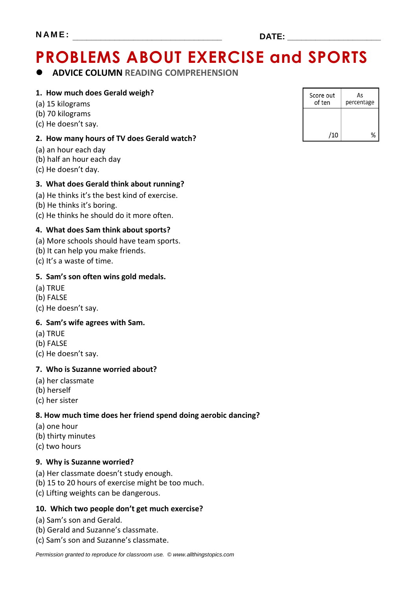# **PROBLEMS ABOUT EXERCISE and SPORTS**

### **ADVICE COLUMN READING COMPREHENSION**

#### **1. How much does Gerald weigh?**

- (a) 15 kilograms
- (b) 70 kilograms
- (c) He doesn't say.

#### **2. How many hours of TV does Gerald watch?**

- (a) an hour each day
- (b) half an hour each day
- (c) He doesn't day.

#### **3. What does Gerald think about running?**

- (a) He thinks it's the best kind of exercise.
- (b) He thinks it's boring.
- (c) He thinks he should do it more often.

#### **4. What does Sam think about sports?**

- (a) More schools should have team sports.
- (b) It can help you make friends.
- (c) It's a waste of time.

#### **5. Sam's son often wins gold medals.**

- (a) TRUE
- (b) FALSE
- (c) He doesn't say.

#### **6. Sam's wife agrees with Sam.**

- (a) TRUE
- (b) FALSE
- (c) He doesn't say.

#### **7. Who is Suzanne worried about?**

- (a) her classmate
- (b) herself
- (c) her sister

#### **8. How much time does her friend spend doing aerobic dancing?**

- (a) one hour
- (b) thirty minutes
- (c) two hours

#### **9. Why is Suzanne worried?**

- (a) Her classmate doesn't study enough.
- (b) 15 to 20 hours of exercise might be too much.
- (c) Lifting weights can be dangerous.

#### **10. Which two people don't get much exercise?**

- (a) Sam's son and Gerald.
- (b) Gerald and Suzanne's classmate.
- (c) Sam's son and Suzanne's classmate.

| Score out<br>of ten | As<br>percentage |
|---------------------|------------------|
|                     |                  |
| /10                 |                  |